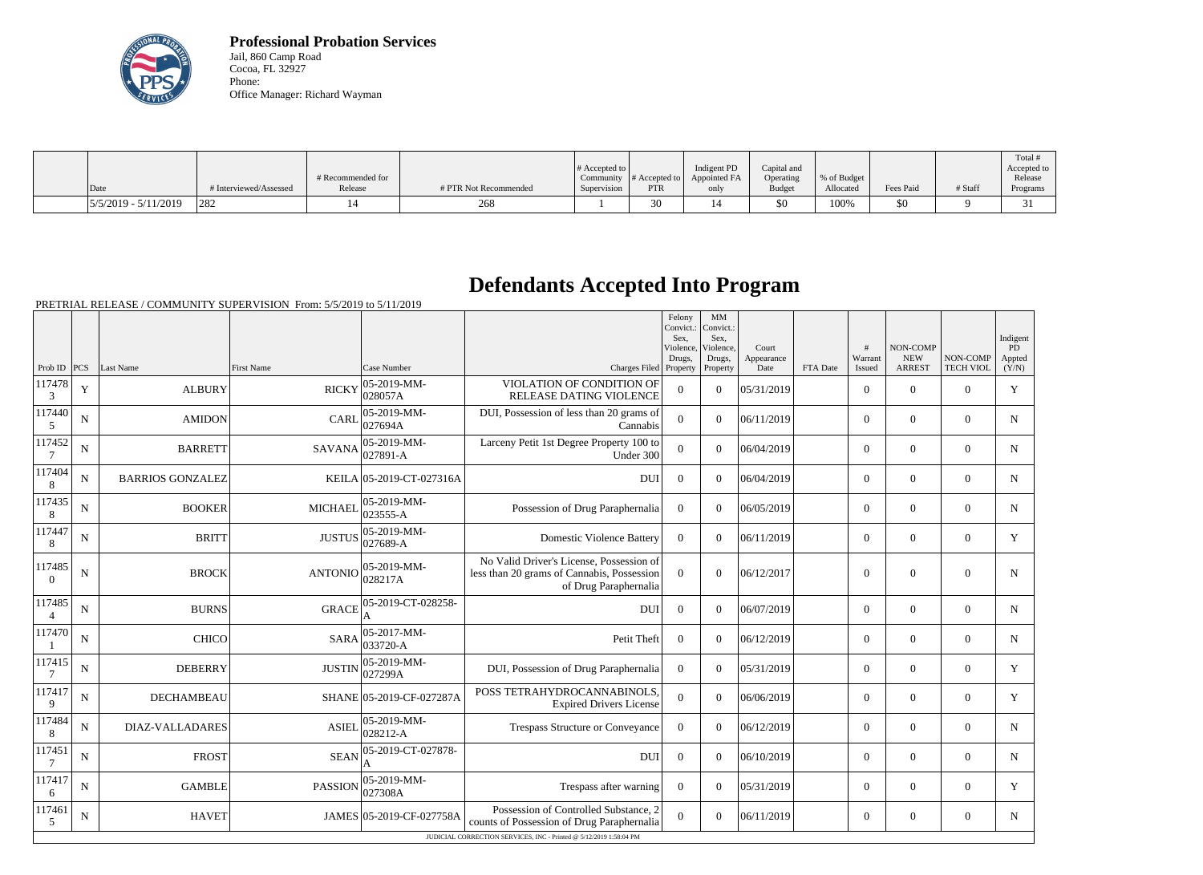

**Professional Probation Services** Jail, 860 Camp Road Cocoa, FL 32927 Phone: Office Manager: Richard Wayman

|                          |                        |                   |                       |                       |               |              |               |             |           |         | Total #     |
|--------------------------|------------------------|-------------------|-----------------------|-----------------------|---------------|--------------|---------------|-------------|-----------|---------|-------------|
|                          |                        |                   |                       | $\#$ Accepted to $\ $ |               | Indigent PD  | Capital and   |             |           |         | Accepted to |
|                          |                        | # Recommended for |                       | Community             | # Accepted to | Appointed FA | Operating     | % of Budget |           |         | Release     |
| Date                     | # Interviewed/Assessed | Release           | # PTR Not Recommended | Supervision           | <b>PTR</b>    | only         | <b>Budget</b> | Allocated   | Fees Paid | # Staff | Programs    |
| $ 5/5/2019 - 5/11/2019 $ | 282                    |                   | 268                   |                       | 30            | 14           | \$0           | 100%        | \$0       |         |             |

## **Defendants Accepted Into Program**

PRETRIAL RELEASE / COMMUNITY SUPERVISION From: 5/5/2019 to 5/11/2019

|                          |                                                                    |                         |                         |                              |                                                                                                                 | Felony<br>Convict.:<br>Sex,<br>Violence.<br>Drugs, | MM<br>Convict.:<br>Sex,<br>Violence,<br>Drugs, | Court<br>Appearance |          | #<br>Warrant   | <b>NON-COMP</b><br><b>NEW</b> | NON-COMP         | Indigent<br><b>PD</b><br>Appted |
|--------------------------|--------------------------------------------------------------------|-------------------------|-------------------------|------------------------------|-----------------------------------------------------------------------------------------------------------------|----------------------------------------------------|------------------------------------------------|---------------------|----------|----------------|-------------------------------|------------------|---------------------------------|
| Prob ID $ PCS $          |                                                                    | Last Name               | <b>First Name</b>       | Case Number                  | Charges Filed Property                                                                                          |                                                    | Property                                       | Date                | FTA Date | Issued         | <b>ARREST</b>                 | <b>TECH VIOL</b> | (Y/N)                           |
| 117478<br>3              | $\mathbf Y$                                                        | <b>ALBURY</b>           | <b>RICKY</b>            | $ 05-2019-MM -$<br>028057A   | VIOLATION OF CONDITION OF<br>RELEASE DATING VIOLENCE                                                            | $\mathbf{0}$                                       | $\Omega$                                       | 05/31/2019          |          | $\overline{0}$ | $\overline{0}$                | $\mathbf{0}$     | $\mathbf Y$                     |
| 117440<br>5              | N                                                                  | <b>AMIDON</b>           | <b>CARL</b>             | 05-2019-MM-<br>027694A       | DUI, Possession of less than 20 grams of<br>Cannabis                                                            | $\overline{0}$                                     | $\Omega$                                       | 06/11/2019          |          | $\overline{0}$ | $\overline{0}$                | $\Omega$         | $\mathbf N$                     |
| 117452<br>7              | N                                                                  | <b>BARRETT</b>          | $SAVANA \Big  027891-A$ | $ 05-2019-MM-$               | Larceny Petit 1st Degree Property 100 to<br>Under 300                                                           | $\overline{0}$                                     | $\Omega$                                       | 06/04/2019          |          | $\Omega$       | $\theta$                      | $\Omega$         | $\mathbf N$                     |
| 117404<br>8              | $\mathbf N$                                                        | <b>BARRIOS GONZALEZ</b> |                         | KEILA 05-2019-CT-027316A     | <b>DUI</b>                                                                                                      | $\boldsymbol{0}$                                   | $\Omega$                                       | 06/04/2019          |          | $\overline{0}$ | $\theta$                      | $\overline{0}$   | $\mathbf N$                     |
| 117435<br>$8\phantom{1}$ | ${\bf N}$                                                          | <b>BOOKER</b>           | <b>MICHAEL</b>          | 05-2019-MM-<br>023555-A      | Possession of Drug Paraphernalia                                                                                | $\boldsymbol{0}$                                   | $\Omega$                                       | 06/05/2019          |          | $\overline{0}$ | $\mathbf{0}$                  | $\overline{0}$   | $\mathbf N$                     |
| 117447<br>8              | $\mathbf N$                                                        | <b>BRITT</b>            | <b>JUSTUS</b>           | 05-2019-MM-<br>027689-A      | <b>Domestic Violence Battery</b>                                                                                | $\Omega$                                           | $\Omega$                                       | 06/11/2019          |          | $\overline{0}$ | $\boldsymbol{0}$              | $\overline{0}$   | Y                               |
| 117485<br>$\Omega$       | $\mathbf N$                                                        | <b>BROCK</b>            | <b>ANTONIO</b>          | $ 05-2019-MM-$<br>028217A    | No Valid Driver's License, Possession of<br>less than 20 grams of Cannabis, Possession<br>of Drug Paraphernalia | $\overline{0}$                                     | $\Omega$                                       | 06/12/2017          |          | $\overline{0}$ | $\theta$                      | $\Omega$         | N                               |
| 117485<br>$\overline{4}$ | ${\bf N}$                                                          | <b>BURNS</b>            | <b>GRACE</b>            | 05-2019-CT-028258-           | <b>DUI</b>                                                                                                      | $\overline{0}$                                     | $\Omega$                                       | 06/07/2019          |          | $\overline{0}$ | $\mathbf{0}$                  | $\mathbf{0}$     | $\mathbf N$                     |
| 117470                   | N                                                                  | <b>CHICO</b>            | <b>SARA</b>             | 05-2017-MM-<br>$ 033720 - A$ | Petit Theft                                                                                                     | $\overline{0}$                                     | $\overline{0}$                                 | 06/12/2019          |          | $\overline{0}$ | $\mathbf{0}$                  | $\mathbf{0}$     | N                               |
| 117415<br>7              | $\mathbf N$                                                        | <b>DEBERRY</b>          | <b>JUSTIN</b>           | $ 05-2019-MM-$<br>027299A    | DUI, Possession of Drug Paraphernalia                                                                           | $\boldsymbol{0}$                                   | $\Omega$                                       | 05/31/2019          |          | $\overline{0}$ | $\theta$                      | $\overline{0}$   | Y                               |
| 117417<br>9              | N                                                                  | <b>DECHAMBEAU</b>       |                         | SHANE 05-2019-CF-027287A     | POSS TETRAHYDROCANNABINOLS.<br><b>Expired Drivers License</b>                                                   | $\overline{0}$                                     | $\Omega$                                       | 06/06/2019          |          | $\Omega$       | $\theta$                      | $\Omega$         | Y                               |
| 117484<br>8              | $\mathbf N$                                                        | <b>DIAZ-VALLADARES</b>  | <b>ASIEL</b>            | $ 05-2019-MM -$<br>028212-A  | <b>Trespass Structure or Conveyance</b>                                                                         | $\mathbf{0}$                                       | $\Omega$                                       | 06/12/2019          |          | $\overline{0}$ | $\overline{0}$                | $\overline{0}$   | $\mathbf N$                     |
| 117451                   | $\mathbf N$                                                        | <b>FROST</b>            | <b>SEAN</b>             | 05-2019-CT-027878-           | <b>DUI</b>                                                                                                      | $\mathbf{0}$                                       | $\Omega$                                       | 06/10/2019          |          | $\overline{0}$ | $\theta$                      | $\overline{0}$   | $\mathbf N$                     |
| 117417<br>6              | N                                                                  | <b>GAMBLE</b>           | <b>PASSION</b>          | $ 05-2019-MM -$<br>027308A   | Trespass after warning                                                                                          | $\overline{0}$                                     | $\Omega$                                       | 05/31/2019          |          | $\overline{0}$ | $\theta$                      | $\Omega$         | Y                               |
| 117461<br>5              | $\mathbf N$                                                        | <b>HAVET</b>            |                         | JAMES 05-2019-CF-027758A     | Possession of Controlled Substance, 2<br>counts of Possession of Drug Paraphernalia                             | $\Omega$                                           | $\Omega$                                       | 06/11/2019          |          | $\overline{0}$ | $\theta$                      | $\Omega$         | $\mathbf N$                     |
|                          | JUDICIAL CORRECTION SERVICES, INC - Printed @ 5/12/2019 1:58:04 PM |                         |                         |                              |                                                                                                                 |                                                    |                                                |                     |          |                |                               |                  |                                 |